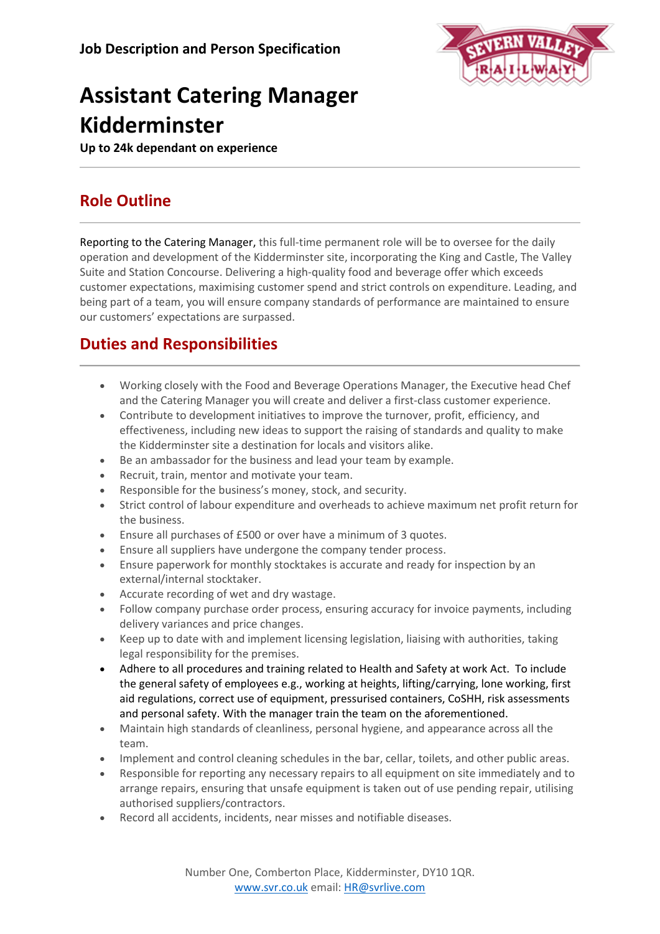

# **Assistant Catering Manager Kidderminster**

**Up to 24k dependant on experience**

## **Role Outline**

Reporting to the Catering Manager, this full-time permanent role will be to oversee for the daily operation and development of the Kidderminster site, incorporating the King and Castle, The Valley Suite and Station Concourse. Delivering a high-quality food and beverage offer which exceeds customer expectations, maximising customer spend and strict controls on expenditure. Leading, and being part of a team, you will ensure company standards of performance are maintained to ensure our customers' expectations are surpassed.

## **Duties and Responsibilities**

- Working closely with the Food and Beverage Operations Manager, the Executive head Chef and the Catering Manager you will create and deliver a first-class customer experience.
- Contribute to development initiatives to improve the turnover, profit, efficiency, and effectiveness, including new ideas to support the raising of standards and quality to make the Kidderminster site a destination for locals and visitors alike.
- Be an ambassador for the business and lead your team by example.
- Recruit, train, mentor and motivate your team.
- Responsible for the business's money, stock, and security.
- Strict control of labour expenditure and overheads to achieve maximum net profit return for the business.
- Ensure all purchases of £500 or over have a minimum of 3 quotes.
- Ensure all suppliers have undergone the company tender process.
- Ensure paperwork for monthly stocktakes is accurate and ready for inspection by an external/internal stocktaker.
- Accurate recording of wet and dry wastage.
- Follow company purchase order process, ensuring accuracy for invoice payments, including delivery variances and price changes.
- Keep up to date with and implement licensing legislation, liaising with authorities, taking legal responsibility for the premises.
- Adhere to all procedures and training related to Health and Safety at work Act. To include the general safety of employees e.g., working at heights, lifting/carrying, lone working, first aid regulations, correct use of equipment, pressurised containers, CoSHH, risk assessments and personal safety. With the manager train the team on the aforementioned.
- Maintain high standards of cleanliness, personal hygiene, and appearance across all the team.
- Implement and control cleaning schedules in the bar, cellar, toilets, and other public areas.
- Responsible for reporting any necessary repairs to all equipment on site immediately and to arrange repairs, ensuring that unsafe equipment is taken out of use pending repair, utilising authorised suppliers/contractors.
- Record all accidents, incidents, near misses and notifiable diseases.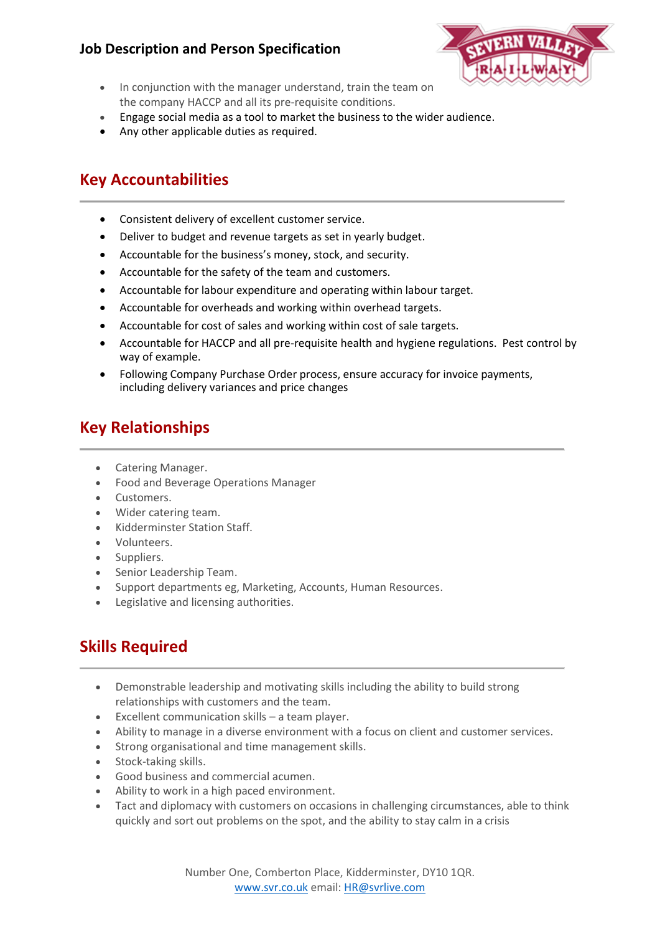#### **Job Description and Person Specification**



- In conjunction with the manager understand, train the team on the company HACCP and all its pre-requisite conditions.
- Engage social media as a tool to market the business to the wider audience.
- Any other applicable duties as required.

#### **Key Accountabilities**

- Consistent delivery of excellent customer service.
- Deliver to budget and revenue targets as set in yearly budget.
- Accountable for the business's money, stock, and security.
- Accountable for the safety of the team and customers.
- Accountable for labour expenditure and operating within labour target.
- Accountable for overheads and working within overhead targets.
- Accountable for cost of sales and working within cost of sale targets.
- Accountable for HACCP and all pre-requisite health and hygiene regulations. Pest control by way of example.
- Following Company Purchase Order process, ensure accuracy for invoice payments, including delivery variances and price changes

### **Key Relationships**

- Catering Manager.
- Food and Beverage Operations Manager
- Customers.
- Wider catering team.
- Kidderminster Station Staff.
- Volunteers.
- Suppliers.
- Senior Leadership Team.
- Support departments eg, Marketing, Accounts, Human Resources.
- Legislative and licensing authorities.

## **Skills Required**

- Demonstrable leadership and motivating skills including the ability to build strong relationships with customers and the team.
- Excellent communication skills a team player.
- Ability to manage in a diverse environment with a focus on client and customer services.
- Strong organisational and time management skills.
- Stock-taking skills.
- Good business and commercial acumen.
- Ability to work in a high paced environment.
- Tact and diplomacy with customers on occasions in challenging circumstances, able to think quickly and sort out problems on the spot, and the ability to stay calm in a crisis